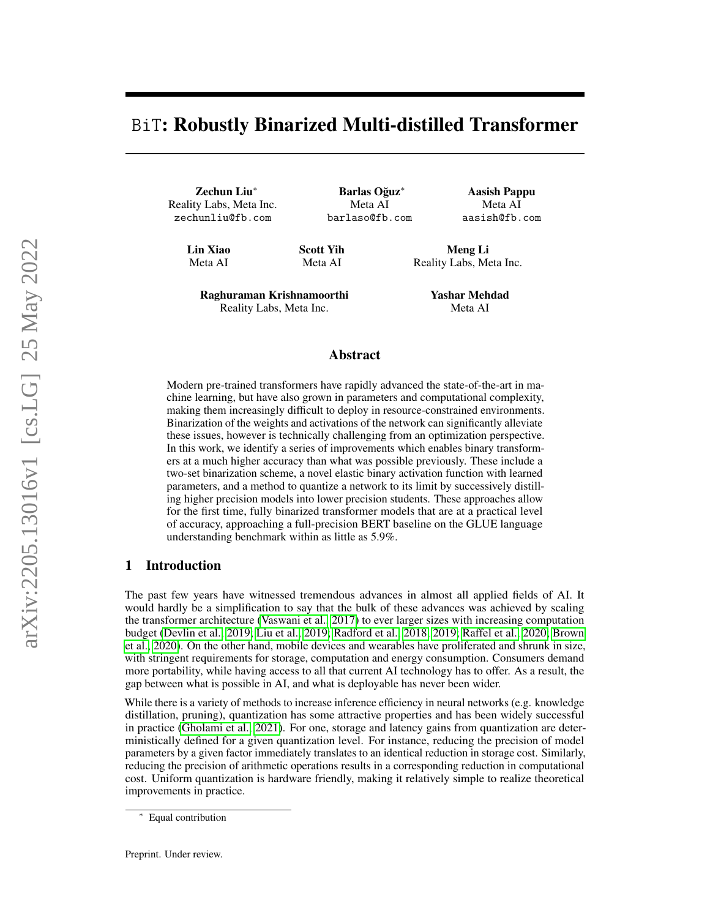# BiT: Robustly Binarized Multi-distilled Transformer

Zechun Liu<sup>∗</sup> Reality Labs, Meta Inc. zechunliu@fb.com

Barlas Oğuz<sup>\*</sup> Meta AI barlaso@fb.com

Aasish Pappu Meta AI aasish@fb.com

Lin Xiao Meta AI

Scott Yih Meta AI

Meng Li Reality Labs, Meta Inc.

Raghuraman Krishnamoorthi Reality Labs, Meta Inc.

Yashar Mehdad Meta AI

# Abstract

Modern pre-trained transformers have rapidly advanced the state-of-the-art in machine learning, but have also grown in parameters and computational complexity, making them increasingly difficult to deploy in resource-constrained environments. Binarization of the weights and activations of the network can significantly alleviate these issues, however is technically challenging from an optimization perspective. In this work, we identify a series of improvements which enables binary transformers at a much higher accuracy than what was possible previously. These include a two-set binarization scheme, a novel elastic binary activation function with learned parameters, and a method to quantize a network to its limit by successively distilling higher precision models into lower precision students. These approaches allow for the first time, fully binarized transformer models that are at a practical level of accuracy, approaching a full-precision BERT baseline on the GLUE language understanding benchmark within as little as 5.9%.

# 1 Introduction

The past few years have witnessed tremendous advances in almost all applied fields of AI. It would hardly be a simplification to say that the bulk of these advances was achieved by scaling the transformer architecture [\(Vaswani et al., 2017\)](#page-11-0) to ever larger sizes with increasing computation budget [\(Devlin et al., 2019;](#page-9-0) [Liu et al., 2019;](#page-10-0) [Radford et al., 2018,](#page-10-1) [2019;](#page-10-2) [Raffel et al., 2020;](#page-11-1) [Brown](#page-9-1) [et al., 2020\)](#page-9-1). On the other hand, mobile devices and wearables have proliferated and shrunk in size, with stringent requirements for storage, computation and energy consumption. Consumers demand more portability, while having access to all that current AI technology has to offer. As a result, the gap between what is possible in AI, and what is deployable has never been wider.

While there is a variety of methods to increase inference efficiency in neural networks (e.g. knowledge distillation, pruning), quantization has some attractive properties and has been widely successful in practice [\(Gholami et al., 2021\)](#page-9-2). For one, storage and latency gains from quantization are deterministically defined for a given quantization level. For instance, reducing the precision of model parameters by a given factor immediately translates to an identical reduction in storage cost. Similarly, reducing the precision of arithmetic operations results in a corresponding reduction in computational cost. Uniform quantization is hardware friendly, making it relatively simple to realize theoretical improvements in practice.

Equal contribution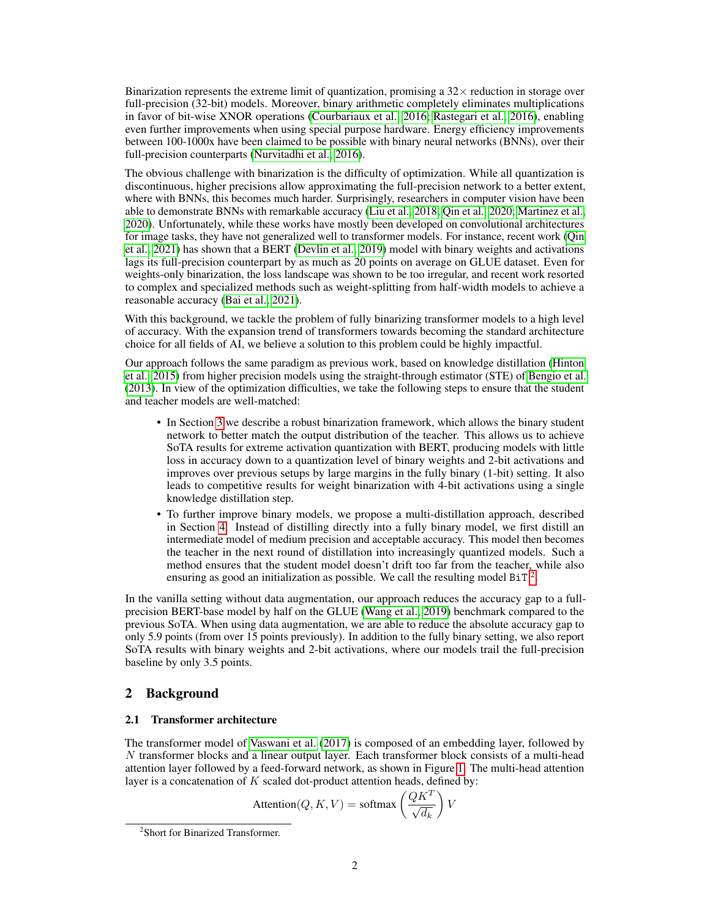Binarization represents the extreme limit of quantization, promising a  $32\times$  reduction in storage over full-precision (32-bit) models. Moreover, binary arithmetic completely eliminates multiplications in favor of bit-wise XNOR operations [\(Courbariaux et al., 2016;](#page-9-3) [Rastegari et al., 2016\)](#page-11-2), enabling even further improvements when using special purpose hardware. Energy efficiency improvements between 100-1000x have been claimed to be possible with binary neural networks (BNNs), over their full-precision counterparts [\(Nurvitadhi et al., 2016\)](#page-10-3).

The obvious challenge with binarization is the difficulty of optimization. While all quantization is discontinuous, higher precisions allow approximating the full-precision network to a better extent, where with BNNs, this becomes much harder. Surprisingly, researchers in computer vision have been able to demonstrate BNNs with remarkable accuracy [\(Liu et al., 2018;](#page-10-4) [Qin et al., 2020;](#page-10-5) [Martinez et al.,](#page-10-6) [2020\)](#page-10-6). Unfortunately, while these works have mostly been developed on convolutional architectures for image tasks, they have not generalized well to transformer models. For instance, recent work [\(Qin](#page-10-7) [et al., 2021\)](#page-10-7) has shown that a BERT [\(Devlin et al., 2019\)](#page-9-0) model with binary weights and activations lags its full-precision counterpart by as much as 20 points on average on GLUE dataset. Even for weights-only binarization, the loss landscape was shown to be too irregular, and recent work resorted to complex and specialized methods such as weight-splitting from half-width models to achieve a reasonable accuracy [\(Bai et al., 2021\)](#page-9-4).

With this background, we tackle the problem of fully binarizing transformer models to a high level of accuracy. With the expansion trend of transformers towards becoming the standard architecture choice for all fields of AI, we believe a solution to this problem could be highly impactful.

Our approach follows the same paradigm as previous work, based on knowledge distillation [\(Hinton](#page-10-8) [et al., 2015\)](#page-10-8) from higher precision models using the straight-through estimator (STE) of [Bengio et al.](#page-9-5) [\(2013\)](#page-9-5). In view of the optimization difficulties, we take the following steps to ensure that the student and teacher models are well-matched:

- In Section [3](#page-2-0) we describe a robust binarization framework, which allows the binary student network to better match the output distribution of the teacher. This allows us to achieve SoTA results for extreme activation quantization with BERT, producing models with little loss in accuracy down to a quantization level of binary weights and 2-bit activations and improves over previous setups by large margins in the fully binary (1-bit) setting. It also leads to competitive results for weight binarization with 4-bit activations using a single knowledge distillation step.
- To further improve binary models, we propose a multi-distillation approach, described in Section [4.](#page-5-0) Instead of distilling directly into a fully binary model, we first distill an intermediate model of medium precision and acceptable accuracy. This model then becomes the teacher in the next round of distillation into increasingly quantized models. Such a method ensures that the student model doesn't drift too far from the teacher, while also ensuring as good an initialization as possible. We call the resulting model BiT<sup>[2](#page-1-0)</sup>.

In the vanilla setting without data augmentation, our approach reduces the accuracy gap to a fullprecision BERT-base model by half on the GLUE [\(Wang et al., 2019\)](#page-11-3) benchmark compared to the previous SoTA. When using data augmentation, we are able to reduce the absolute accuracy gap to only 5.9 points (from over 15 points previously). In addition to the fully binary setting, we also report SoTA results with binary weights and 2-bit activations, where our models trail the full-precision baseline by only 3.5 points.

# 2 Background

## 2.1 Transformer architecture

The transformer model of [Vaswani et al.](#page-11-0) [\(2017\)](#page-11-0) is composed of an embedding layer, followed by N transformer blocks and a linear output layer. Each transformer block consists of a multi-head attention layer followed by a feed-forward network, as shown in Figure [1.](#page-3-0) The multi-head attention layer is a concatenation of  $K$  scaled dot-product attention heads, defined by:

$$
Attention(Q, K, V) = softmax\left(\frac{QK^T}{\sqrt{d_k}}\right)V
$$

<span id="page-1-0"></span><sup>2</sup> Short for Binarized Transformer.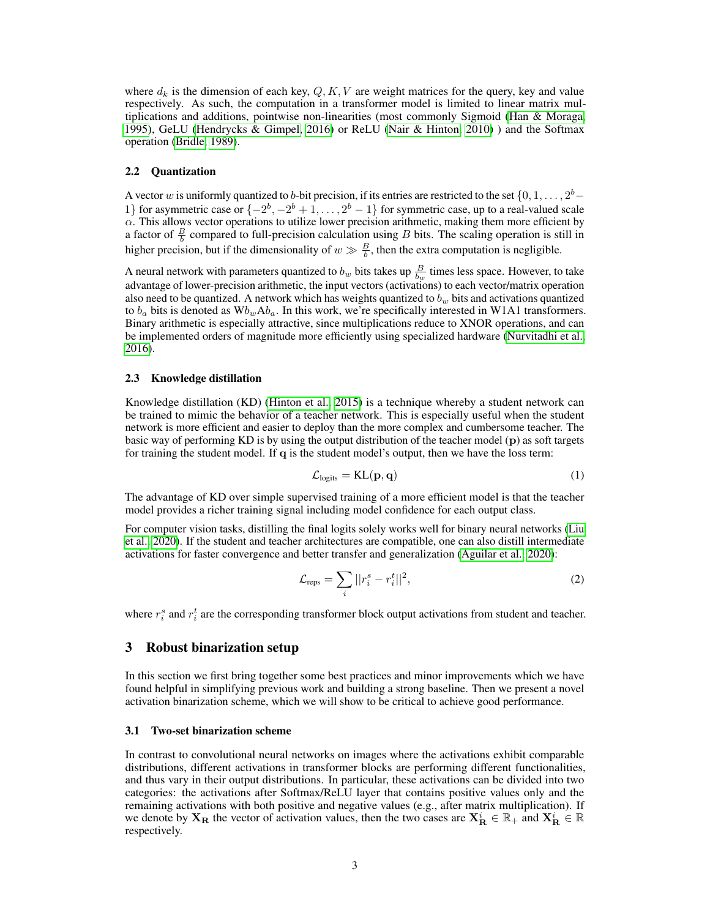where  $d_k$  is the dimension of each key,  $Q, K, V$  are weight matrices for the query, key and value respectively. As such, the computation in a transformer model is limited to linear matrix multiplications and additions, pointwise non-linearities (most commonly Sigmoid [\(Han & Moraga,](#page-10-9) [1995\)](#page-10-9), GeLU [\(Hendrycks & Gimpel, 2016\)](#page-10-10) or ReLU [\(Nair & Hinton, 2010\)](#page-10-11) ) and the Softmax operation [\(Bridle, 1989\)](#page-9-6).

# 2.2 Quantization

A vector w is uniformly quantized to b-bit precision, if its entries are restricted to the set  $\{0, 1, \ldots, 2^b -$ 1} for asymmetric case or  $\{-2^b, -2^b + 1, \ldots, 2^b - 1\}$  for symmetric case, up to a real-valued scale  $\alpha$ . This allows vector operations to utilize lower precision arithmetic, making them more efficient by a factor of  $\frac{B}{b}$  compared to full-precision calculation using B bits. The scaling operation is still in higher precision, but if the dimensionality of  $w \gg \frac{B}{b}$ , then the extra computation is negligible.

A neural network with parameters quantized to  $b_w$  bits takes up  $\frac{B}{b_w}$  times less space. However, to take advantage of lower-precision arithmetic, the input vectors (activations) to each vector/matrix operation also need to be quantized. A network which has weights quantized to  $b_w$  bits and activations quantized to  $b_a$  bits is denoted as  $Wb_wAb_a$ . In this work, we're specifically interested in W1A1 transformers. Binary arithmetic is especially attractive, since multiplications reduce to XNOR operations, and can be implemented orders of magnitude more efficiently using specialized hardware [\(Nurvitadhi et al.,](#page-10-3) [2016\)](#page-10-3).

#### 2.3 Knowledge distillation

Knowledge distillation (KD) [\(Hinton et al., 2015\)](#page-10-8) is a technique whereby a student network can be trained to mimic the behavior of a teacher network. This is especially useful when the student network is more efficient and easier to deploy than the more complex and cumbersome teacher. The basic way of performing KD is by using the output distribution of the teacher model (p) as soft targets for training the student model. If q is the student model's output, then we have the loss term:

$$
\mathcal{L}_{\text{logits}} = \text{KL}(\mathbf{p}, \mathbf{q}) \tag{1}
$$

The advantage of KD over simple supervised training of a more efficient model is that the teacher model provides a richer training signal including model confidence for each output class.

For computer vision tasks, distilling the final logits solely works well for binary neural networks [\(Liu](#page-10-12) [et al., 2020\)](#page-10-12). If the student and teacher architectures are compatible, one can also distill intermediate activations for faster convergence and better transfer and generalization [\(Aguilar et al., 2020\)](#page-9-7):

$$
\mathcal{L}_{\text{reps}} = \sum_{i} ||r_i^s - r_i^t||^2,\tag{2}
$$

where  $r_i^s$  and  $r_i^t$  are the corresponding transformer block output activations from student and teacher.

# <span id="page-2-0"></span>3 Robust binarization setup

In this section we first bring together some best practices and minor improvements which we have found helpful in simplifying previous work and building a strong baseline. Then we present a novel activation binarization scheme, which we will show to be critical to achieve good performance.

#### <span id="page-2-1"></span>3.1 Two-set binarization scheme

In contrast to convolutional neural networks on images where the activations exhibit comparable distributions, different activations in transformer blocks are performing different functionalities, and thus vary in their output distributions. In particular, these activations can be divided into two categories: the activations after Softmax/ReLU layer that contains positive values only and the remaining activations with both positive and negative values (e.g., after matrix multiplication). If we denote by  $X_R$  the vector of activation values, then the two cases are  $X_R^i \in \mathbb{R}_+$  and  $X_R^i \in \mathbb{R}$ respectively.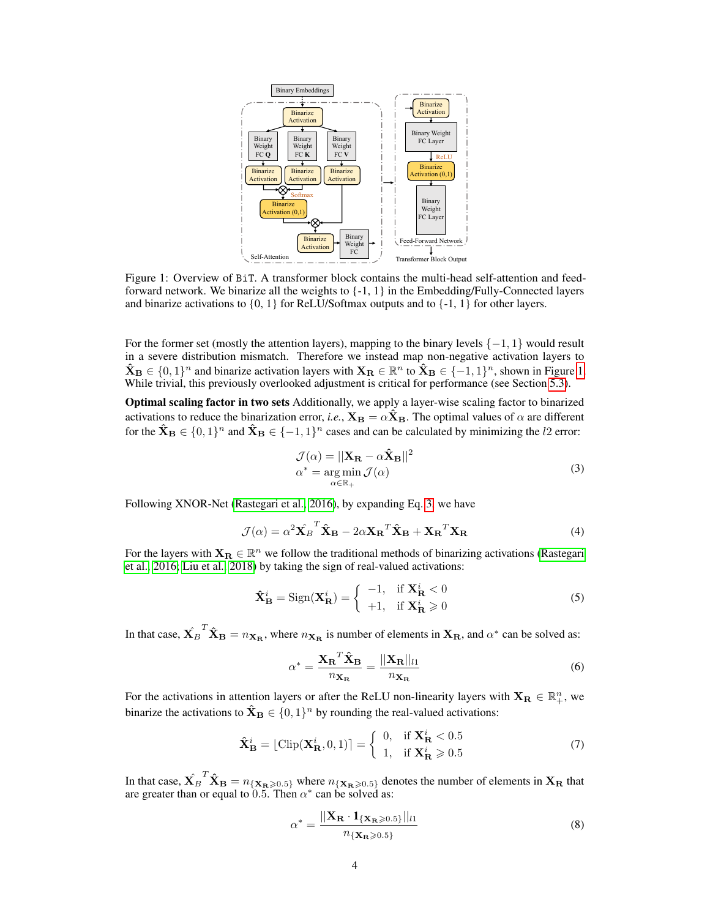<span id="page-3-0"></span>

Figure 1: Overview of BiT. A transformer block contains the multi-head self-attention and feedforward network. We binarize all the weights to  $\{-1, 1\}$  in the Embedding/Fully-Connected layers and binarize activations to  $\{0, 1\}$  for ReLU/Softmax outputs and to  $\{-1, 1\}$  for other layers.

For the former set (mostly the attention layers), mapping to the binary levels  $\{-1, 1\}$  would result in a severe distribution mismatch. Therefore we instead map non-negative activation layers to  $\mathbf{\hat{X}_B} \in \{0,1\}^n$  and binarize activation layers with  $\mathbf{X_B} \in \mathbb{R}^n$  to  $\mathbf{\hat{X}_B} \in \{-1,1\}^n$ , shown in Figure [1.](#page-3-0) While trivial, this previously overlooked adjustment is critical for performance (see Section [5.3\)](#page-7-0).

Optimal scaling factor in two sets Additionally, we apply a layer-wise scaling factor to binarized activations to reduce the binarization error, *i.e.*,  $X_B = \alpha \hat{X}_B$ . The optimal values of  $\alpha$  are different for the  $\mathbf{\hat{X}_B} \in \{0,1\}^n$  and  $\mathbf{\hat{X}_B} \in \{-1,1\}^n$  cases and can be calculated by minimizing the l2 error:

<span id="page-3-1"></span>
$$
\mathcal{J}(\alpha) = ||\mathbf{X}_{\mathbf{R}} - \alpha \hat{\mathbf{X}}_{\mathbf{B}}||^2
$$
  
\n
$$
\alpha^* = \underset{\alpha \in \mathbb{R}_+}{\arg \min} \mathcal{J}(\alpha)
$$
\n(3)

Following XNOR-Net [\(Rastegari et al., 2016\)](#page-11-2), by expanding Eq. [3,](#page-3-1) we have

$$
\mathcal{J}(\alpha) = \alpha^2 \hat{\mathbf{X}_B}^T \hat{\mathbf{X}}_B - 2\alpha \mathbf{X_R}^T \hat{\mathbf{X}}_B + \mathbf{X_R}^T \mathbf{X_R}
$$
(4)

For the layers with  $X_R \in \mathbb{R}^n$  we follow the traditional methods of binarizing activations [\(Rastegari](#page-11-2) [et al., 2016;](#page-11-2) [Liu et al., 2018\)](#page-10-4) by taking the sign of real-valued activations:

$$
\hat{\mathbf{X}}_{\mathbf{B}}^{i} = \text{Sign}(\mathbf{X}_{\mathbf{R}}^{i}) = \begin{cases}\n-1, & \text{if } \mathbf{X}_{\mathbf{R}}^{i} < 0 \\
+1, & \text{if } \mathbf{X}_{\mathbf{R}}^{i} \ge 0\n\end{cases}
$$
\n(5)

In that case,  $\hat{X_B}^T \hat{X_B} = n_{\mathbf{X_B}}$ , where  $n_{\mathbf{X_B}}$  is number of elements in  $X_R$ , and  $\alpha^*$  can be solved as:

$$
\alpha^* = \frac{\mathbf{X_R}^T \hat{\mathbf{X}}_{\mathbf{B}}}{n_{\mathbf{X_R}}} = \frac{||\mathbf{X_R}||_{l1}}{n_{\mathbf{X_R}}}
$$
(6)

For the activations in attention layers or after the ReLU non-linearity layers with  $X_R \in \mathbb{R}^n_+$ , we binarize the activations to  $\mathbf{\hat{X}_B} \in \{0,1\}^n$  by rounding the real-valued activations:

$$
\hat{\mathbf{X}}_{\mathbf{B}}^{i} = \lfloor \text{Clip}(\mathbf{X}_{\mathbf{R}}^{i}, 0, 1) \rfloor = \begin{cases} 0, & \text{if } \mathbf{X}_{\mathbf{R}}^{i} < 0.5 \\ 1, & \text{if } \mathbf{X}_{\mathbf{R}}^{i} \geq 0.5 \end{cases} \tag{7}
$$

In that case,  $\hat{\textbf{X}_B}^T \hat{\textbf{X}}_B = n_{\{\textbf{X_B}\geqslant0.5\}}$  where  $n_{\{\textbf{X_B}\geqslant0.5\}}$  denotes the number of elements in  $\textbf{X_R}$  that are greater than or equal to  $\overline{0.5}$ . Then  $\alpha^*$  can be solved as:

$$
\alpha^* = \frac{||\mathbf{X_R} \cdot \mathbf{1}_{\{\mathbf{X_R} \geqslant 0.5\}}||_{l1}}{n_{\{\mathbf{X_R} \geqslant 0.5\}}}
$$
(8)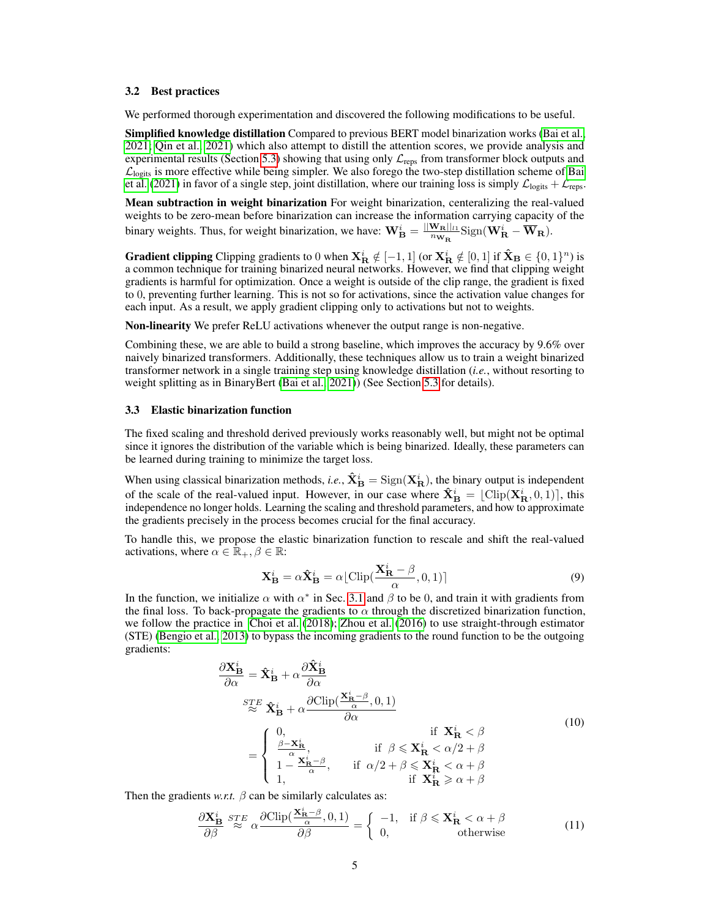#### <span id="page-4-0"></span>3.2 Best practices

We performed thorough experimentation and discovered the following modifications to be useful.

Simplified knowledge distillation Compared to previous BERT model binarization works [\(Bai et al.,](#page-9-4) [2021;](#page-9-4) [Qin et al., 2021\)](#page-10-7) which also attempt to distill the attention scores, we provide analysis and experimental results (Section [5.3\)](#page-7-0) showing that using only  $\mathcal{L}_{\text{reps}}$  from transformer block outputs and  $\mathcal{L}_{\text{logits}}$  is more effective while being simpler. We also forego the two-step distillation scheme of [Bai](#page-9-4) [et al.](#page-9-4) [\(2021\)](#page-9-4) in favor of a single step, joint distillation, where our training loss is simply  $\mathcal{L}_{\text{logits}} + \mathcal{L}_{\text{reps}}$ .

Mean subtraction in weight binarization For weight binarization, centeralizing the real-valued weights to be zero-mean before binarization can increase the information carrying capacity of the binary weights. Thus, for weight binarization, we have:  $\mathbf{W}_{\mathbf{B}}^i = \frac{||\mathbf{W}_{\mathbf{R}}||_{11}}{n_{\mathbf{W}_{\mathbf{D}}}}$  $\frac{\mathbf{W_R}||_{l1}}{n_{\mathbf{W_R}}}$ Sign $(\mathbf{W_R}^i - \overline{\mathbf{W}}_{\mathbf{R}})$ .

**Gradient clipping** Clipping gradients to 0 when  $X_{\mathbf{R}}^i \notin [-1, 1]$  (or  $X_{\mathbf{R}}^i \notin [0, 1]$  if  $\mathbf{\hat{X}}_{\mathbf{B}} \in \{0, 1\}^n$ ) is a common technique for training binarized neural networks. However, we find that clipping weight gradients is harmful for optimization. Once a weight is outside of the clip range, the gradient is fixed to 0, preventing further learning. This is not so for activations, since the activation value changes for each input. As a result, we apply gradient clipping only to activations but not to weights.

Non-linearity We prefer ReLU activations whenever the output range is non-negative.

Combining these, we are able to build a strong baseline, which improves the accuracy by 9.6% over naively binarized transformers. Additionally, these techniques allow us to train a weight binarized transformer network in a single training step using knowledge distillation (*i.e.*, without resorting to weight splitting as in BinaryBert [\(Bai et al., 2021\)](#page-9-4)) (See Section [5.3](#page-7-0) for details).

#### <span id="page-4-1"></span>3.3 Elastic binarization function

The fixed scaling and threshold derived previously works reasonably well, but might not be optimal since it ignores the distribution of the variable which is being binarized. Ideally, these parameters can be learned during training to minimize the target loss.

When using classical binarization methods, *i.e.*,  $\hat{X}_{B}^{i} =$  Sign( $X_{R}^{i}$ ), the binary output is independent of the scale of the real-valued input. However, in our case where  $\mathbf{\hat{X}_{B}^{i}} = [\text{Clip}(\mathbf{X_{R}^{i}}, 0, 1)]$ , this independence no longer holds. Learning the scaling and threshold parameters, and how to approximate the gradients precisely in the process becomes crucial for the final accuracy.

To handle this, we propose the elastic binarization function to rescale and shift the real-valued activations, where  $\alpha \in \mathbb{R}_+, \beta \in \mathbb{R}$ :

$$
\mathbf{X}_{\mathbf{B}}^{i} = \alpha \hat{\mathbf{X}}_{\mathbf{B}}^{i} = \alpha \lfloor \text{Clip}(\frac{\mathbf{X}_{\mathbf{R}}^{i} - \beta}{\alpha}, 0, 1) \rceil
$$
\n(9)

In the function, we initialize  $\alpha$  with  $\alpha^*$  in Sec. [3.1](#page-2-1) and  $\beta$  to be 0, and train it with gradients from the final loss. To back-propagate the gradients to  $\alpha$  through the discretized binarization function, we follow the practice in [Choi et al.](#page-9-8) [\(2018\)](#page-9-8); [Zhou et al.](#page-11-4) [\(2016\)](#page-11-4) to use straight-through estimator (STE) [\(Bengio et al., 2013\)](#page-9-5) to bypass the incoming gradients to the round function to be the outgoing gradients:

$$
\frac{\partial \mathbf{X}_{\mathbf{B}}^{i}}{\partial \alpha} = \hat{\mathbf{X}}_{\mathbf{B}}^{i} + \alpha \frac{\partial \hat{\mathbf{X}}_{\mathbf{B}}^{i}}{\partial \alpha}
$$
\n
$$
\stackrel{STE}{\approx} \hat{\mathbf{X}}_{\mathbf{B}}^{i} + \alpha \frac{\partial \text{Clip}(\frac{\mathbf{X}_{\mathbf{R}}^{i} - \beta}{\alpha}, 0, 1)}{\partial \alpha}
$$
\n
$$
= \begin{cases}\n0, & \text{if } \mathbf{X}_{\mathbf{R}}^{i} < \beta \\
\frac{\beta - \mathbf{X}_{\mathbf{R}}^{i}}{\alpha}, & \text{if } \beta \leq \mathbf{X}_{\mathbf{R}}^{i} < \alpha/2 + \beta \\
1 - \frac{\mathbf{X}_{\mathbf{R}}^{i} - \beta}{\alpha}, & \text{if } \alpha/2 + \beta \leq \mathbf{X}_{\mathbf{R}}^{i} < \alpha + \beta \\
1, & \text{if } \mathbf{X}_{\mathbf{R}}^{i} \geq \alpha + \beta\n\end{cases}
$$
\n(10)

Then the gradients *w.r.t.*  $\beta$  can be similarly calculates as:

$$
\frac{\partial \mathbf{X}_{\mathbf{B}}^i}{\partial \beta} \stackrel{STE}{\approx} \alpha \frac{\partial \text{Clip}(\frac{\mathbf{X}_{\mathbf{R}}^i - \beta}{\alpha}, 0, 1)}{\partial \beta} = \begin{cases} -1, & \text{if } \beta \leq \mathbf{X}_{\mathbf{R}}^i < \alpha + \beta \\ 0, & \text{otherwise} \end{cases}
$$
(11)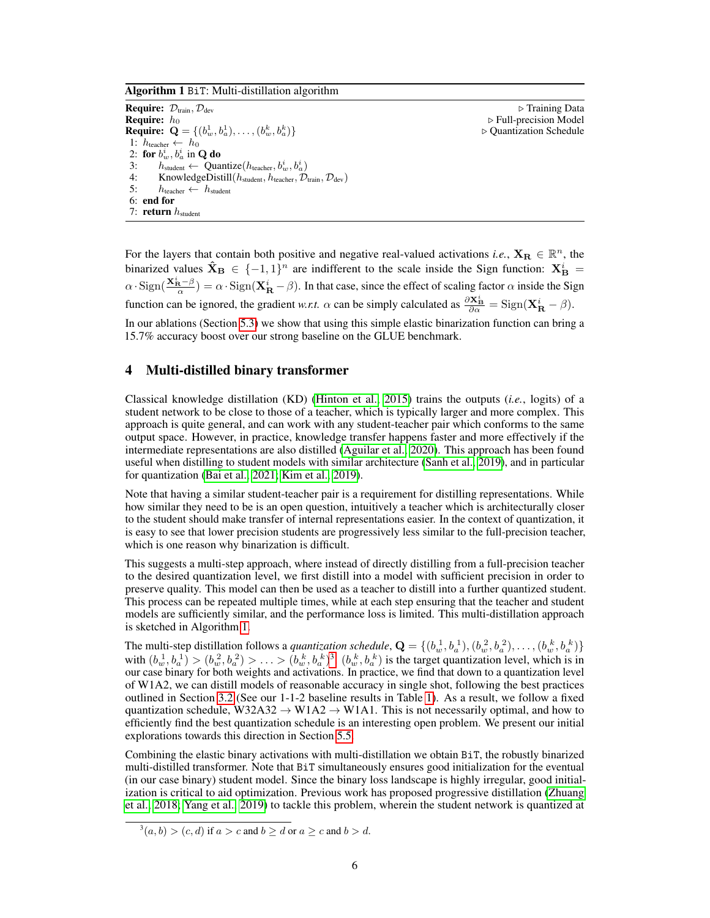<span id="page-5-1"></span>Algorithm 1 BiT: Multi-distillation algorithm

**Require:**  $D_{\text{train}}$ ,  $D_{\text{dev}}$  . Training Data . Training Data . Training Data . Training Data . Training Data . Training Data . Training Data . The sequence of  $D_{\text{rel}}$ . Training Data . The sequence of  $D_{\text{rel}}$ . Train **Require:**  $\mathbf{Q} = \{ (b_w^1, b_a^1), \dots, (b_w^k, b_a^k) \}$ 1:  $h_{\text{teacher}} \leftarrow h_0$ 2: for  $b_w^i, b_a^i$  in Q do 3:  $h_{student} \leftarrow$  Quantize( $h_{teacher}, b_w^i, b_a^i$ ) 4: KnowledgeDistill( $h_{student}, h_{teacher}, \mathcal{D}_{train}, \mathcal{D}_{dev}$ )<br>5:  $h_{teacher \leftarrow h_{student}}$  $h_{\text{teacher}} \leftarrow h_{\text{student}}$ 6: end for 7: return  $h_{student}$ 

 $\triangleright$  Full-precision Model <sup>a</sup>)} . Quantization Schedule

For the layers that contain both positive and negative real-valued activations *i.e.*,  $X_R \in \mathbb{R}^n$ , the binarized values  $\mathbf{\hat{X}_{B}} \in \{-1,1\}^{n}$  are indifferent to the scale inside the Sign function:  $\mathbf{X_{B}^{i}} =$  $\alpha \cdot \text{Sign}(\frac{\mathbf{X}_{\mathbf{R}}^i - \beta}{\alpha}) = \alpha \cdot \text{Sign}(\mathbf{X}_{\mathbf{R}}^i - \beta)$ . In that case, since the effect of scaling factor  $\alpha$  inside the Sign function can be ignored, the gradient *w.r.t.*  $\alpha$  can be simply calculated as  $\frac{\partial \mathbf{X}_{\mathbf{B}}^i}{\partial \alpha} = \text{Sign}(\mathbf{X}_{\mathbf{R}}^i - \beta)$ .

In our ablations (Section [5.3\)](#page-7-0) we show that using this simple elastic binarization function can bring a 15.7% accuracy boost over our strong baseline on the GLUE benchmark.

# <span id="page-5-0"></span>4 Multi-distilled binary transformer

Classical knowledge distillation (KD) [\(Hinton et al., 2015\)](#page-10-8) trains the outputs (*i.e.*, logits) of a student network to be close to those of a teacher, which is typically larger and more complex. This approach is quite general, and can work with any student-teacher pair which conforms to the same output space. However, in practice, knowledge transfer happens faster and more effectively if the intermediate representations are also distilled [\(Aguilar et al., 2020\)](#page-9-7). This approach has been found useful when distilling to student models with similar architecture [\(Sanh et al., 2019\)](#page-11-5), and in particular for quantization [\(Bai et al., 2021;](#page-9-4) [Kim et al., 2019\)](#page-10-13).

Note that having a similar student-teacher pair is a requirement for distilling representations. While how similar they need to be is an open question, intuitively a teacher which is architecturally closer to the student should make transfer of internal representations easier. In the context of quantization, it is easy to see that lower precision students are progressively less similar to the full-precision teacher, which is one reason why binarization is difficult.

This suggests a multi-step approach, where instead of directly distilling from a full-precision teacher to the desired quantization level, we first distill into a model with sufficient precision in order to preserve quality. This model can then be used as a teacher to distill into a further quantized student. This process can be repeated multiple times, while at each step ensuring that the teacher and student models are sufficiently similar, and the performance loss is limited. This multi-distillation approach is sketched in Algorithm [1.](#page-5-1)

The multi-step distillation follows a *quantization schedule*,  $\mathbf{Q} = \{(b_w^1, b_a^1), (b_w^2, b_a^2), \dots, (b_w^k, b_a^k)\}$ with  $(b_w^1, b_a^1) > (b_w^2, b_a^2) > \ldots > (b_w^k, b_a^k)^3$  $(b_w^1, b_a^1) > (b_w^2, b_a^2) > \ldots > (b_w^k, b_a^k)^3$ .  $(b_w^k, b_a^k)$  is the target quantization level, which is in our case binary for both weights and activations. In practice, we find that down to a quantization level of W1A2, we can distill models of reasonable accuracy in single shot, following the best practices outlined in Section [3.2](#page-4-0) (See our 1-1-2 baseline results in Table [1\)](#page-6-0). As a result, we follow a fixed quantization schedule, W32A32  $\rightarrow$  W1A2  $\rightarrow$  W1A1. This is not necessarily optimal, and how to efficiently find the best quantization schedule is an interesting open problem. We present our initial explorations towards this direction in Section [5.5.](#page-7-1)

Combining the elastic binary activations with multi-distillation we obtain BiT, the robustly binarized multi-distilled transformer. Note that BiT simultaneously ensures good initialization for the eventual (in our case binary) student model. Since the binary loss landscape is highly irregular, good initialization is critical to aid optimization. Previous work has proposed progressive distillation [\(Zhuang](#page-12-0) [et al., 2018;](#page-12-0) [Yang et al., 2019\)](#page-11-6) to tackle this problem, wherein the student network is quantized at

<span id="page-5-2"></span> $3(a, b) > (c, d)$  if  $a > c$  and  $b \ge d$  or  $a \ge c$  and  $b > d$ .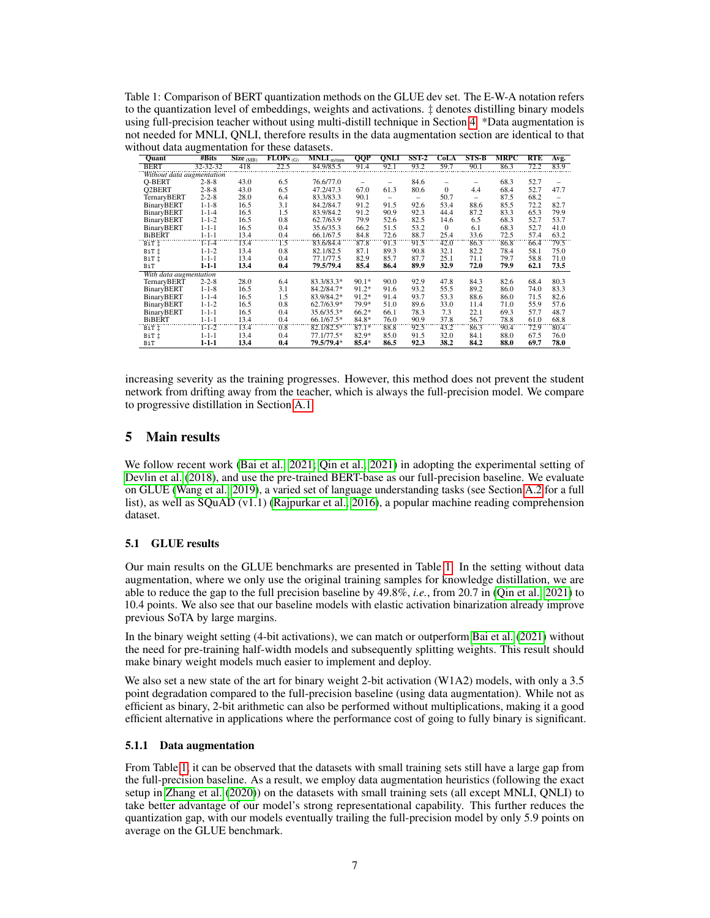<span id="page-6-0"></span>Table 1: Comparison of BERT quantization methods on the GLUE dev set. The E-W-A notation refers to the quantization level of embeddings, weights and activations. ‡ denotes distilling binary models using full-precision teacher without using multi-distill technique in Section [4.](#page-5-0) \*Data augmentation is not needed for MNLI, QNLI, therefore results in the data augmentation section are identical to that without data augmentation for these datasets.

| Quant                     | #Bits       | $\overline{\text{Size}_{(MB)}}$ | $FLOPs$ <sub>(G)</sub> | $MNLI_{m/mm}$ | <b>QQP</b> | <b>QNLI</b>              | SST <sub>2</sub> | CoLA         | <b>STS-B</b>             | <b>MRPC</b> | <b>RTE</b> | Avg. |
|---------------------------|-------------|---------------------------------|------------------------|---------------|------------|--------------------------|------------------|--------------|--------------------------|-------------|------------|------|
| <b>BERT</b>               | 32-32-32    | 418                             | 22.5                   | 84.9/85.5     | 91.4       | 92.1                     | 93.2             | 59.7         | 90.1                     | 86.3        | 72.2       | 83.9 |
| Without data augmentation |             |                                 |                        |               |            |                          |                  |              |                          |             |            |      |
| O-BERT                    | $2 - 8 - 8$ | 43.0                            | 6.5                    | 76.6/77.0     |            |                          | 84.6             |              | $\overline{\phantom{0}}$ | 68.3        | 52.7       |      |
| <b>Q2BERT</b>             | $2 - 8 - 8$ | 43.0                            | 6.5                    | 47.2/47.3     | 67.0       | 61.3                     | 80.6             | $\Omega$     | 4.4                      | 68.4        | 52.7       | 47.7 |
| <b>TernaryBERT</b>        | $2 - 2 - 8$ | 28.0                            | 6.4                    | 83.3/83.3     | 90.1       | $\overline{\phantom{0}}$ | -                | 50.7         | $\overline{\phantom{0}}$ | 87.5        | 68.2       | -    |
| <b>BinaryBERT</b>         | $1 - 1 - 8$ | 16.5                            | 3.1                    | 84.2/84.7     | 91.2       | 91.5                     | 92.6             | 53.4         | 88.6                     | 85.5        | 72.2       | 82.7 |
| <b>BinaryBERT</b>         | $1 - 1 - 4$ | 16.5                            | 1.5                    | 83.9/84.2     | 91.2       | 90.9                     | 92.3             | 44.4         | 87.2                     | 83.3        | 65.3       | 79.9 |
| <b>BinaryBERT</b>         | $1 - 1 - 2$ | 16.5                            | 0.8                    | 62.7/63.9     | 79.9       | 52.6                     | 82.5             | 14.6         | 6.5                      | 68.3        | 52.7       | 53.7 |
| <b>BinaryBERT</b>         | $1 - 1 - 1$ | 16.5                            | 0.4                    | 35.6/35.3     | 66.2       | 51.5                     | 53.2             | $\mathbf{0}$ | 6.1                      | 68.3        | 52.7       | 41.0 |
| <b>BiBERT</b>             | $1 - 1 - 1$ | 13.4                            | 0.4                    | 66.1/67.5     | 84.8       | 72.6                     | 88.7             | 25.4         | 33.6                     | 72.5        | 57.4       | 63.2 |
| BiT İ                     | $1 - 1 - 4$ | 13.4                            | Ϊ3                     | 83.6/84.4     | 87.8       | 91.3                     | 91.5             | 42.0         | 86.3                     | 86.8        | 66.4       | 79.5 |
| BiT İ                     | $1 - 1 - 2$ | 13.4                            | 0.8                    | 82.1/82.5     | 87.1       | 89.3                     | 90.8             | 32.1         | 82.2                     | 78.4        | 58.1       | 75.0 |
| BiT İ                     | $1 - 1 - 1$ | 13.4                            | 0.4                    | 77.1/77.5     | 82.9       | 85.7                     | 87.7             | 25.1         | 71.1                     | 79.7        | 58.8       | 71.0 |
| BiT                       | $1 - 1 - 1$ | 13.4                            | 0.4                    | 79.5/79.4     | 85.4       | 86.4                     | 89.9             | 32.9         | 72.0                     | 79.9        | 62.1       | 73.5 |
| With data augmentation    |             |                                 |                        |               |            |                          |                  |              |                          |             |            |      |
| TernaryBERT               | $2 - 2 - 8$ | 28.0                            | 6.4                    | 83.3/83.3*    | $90.1*$    | 90.0                     | 92.9             | 47.8         | 84.3                     | 82.6        | 68.4       | 80.3 |
| BinaryBERT                | $1 - 1 - 8$ | 16.5                            | 3.1                    | 84.2/84.7*    | $91.2*$    | 91.6                     | 93.2             | 55.5         | 89.2                     | 86.0        | 74.0       | 83.3 |
| <b>BinaryBERT</b>         | $1 - 1 - 4$ | 16.5                            | 1.5                    | 83.9/84.2*    | $91.2*$    | 91.4                     | 93.7             | 53.3         | 88.6                     | 86.0        | 71.5       | 82.6 |
| <b>BinaryBERT</b>         | $1 - 1 - 2$ | 16.5                            | 0.8                    | 62.7/63.9*    | 79.9*      | 51.0                     | 89.6             | 33.0         | 11.4                     | 71.0        | 55.9       | 57.6 |
| <b>BinaryBERT</b>         | $1 - 1 - 1$ | 16.5                            | 0.4                    | 35.6/35.3*    | $66.2*$    | 66.1                     | 78.3             | 7.3          | 22.1                     | 69.3        | 57.7       | 48.7 |
| <b>BiBERT</b>             | $1 - 1 - 1$ | 13.4                            | 0.4                    | 66.1/67.5*    | 84.8*      | 76.0                     | 90.9             | 37.8         | 56.7                     | 78.8        | 61.0       | 68.8 |
| BiT İ                     | $1-1-2$     | 13.4                            | 0.8                    | 82.1/82.5*    | $87.1*$    | 88.8                     | 92.5             | 43.2         | 86.3                     | 90.4        | 72.9       | 80.4 |
| BiT İ                     | $1 - 1 - 1$ | 13.4                            | 0.4                    | 77.1/77.5*    | $82.9*$    | 85.0                     | 91.5             | 32.0         | 84.1                     | 88.0        | 67.5       | 76.0 |
| BiT                       | $1 - 1 - 1$ | 13.4                            | 0.4                    | 79.5/79.4*    | $85.4*$    | 86.5                     | 92.3             | 38.2         | 84.2                     | 88.0        | 69.7       | 78.0 |

increasing severity as the training progresses. However, this method does not prevent the student network from drifting away from the teacher, which is always the full-precision model. We compare to progressive distillation in Section [A.1.](#page-12-1)

# 5 Main results

We follow recent work [\(Bai et al., 2021;](#page-9-4) [Qin et al., 2021\)](#page-10-7) in adopting the experimental setting of [Devlin et al.](#page-9-9) [\(2018\)](#page-9-9), and use the pre-trained BERT-base as our full-precision baseline. We evaluate on GLUE [\(Wang et al., 2019\)](#page-11-3), a varied set of language understanding tasks (see Section [A.2](#page-12-2) for a full list), as well as SQuAD (v1.1) [\(Rajpurkar et al., 2016\)](#page-11-7), a popular machine reading comprehension dataset.

# 5.1 GLUE results

Our main results on the GLUE benchmarks are presented in Table [1.](#page-6-0) In the setting without data augmentation, where we only use the original training samples for knowledge distillation, we are able to reduce the gap to the full precision baseline by 49.8%, *i.e.*, from 20.7 in [\(Qin et al., 2021\)](#page-10-7) to 10.4 points. We also see that our baseline models with elastic activation binarization already improve previous SoTA by large margins.

In the binary weight setting (4-bit activations), we can match or outperform [Bai et al.](#page-9-4) [\(2021\)](#page-9-4) without the need for pre-training half-width models and subsequently splitting weights. This result should make binary weight models much easier to implement and deploy.

We also set a new state of the art for binary weight 2-bit activation (W1A2) models, with only a 3.5 point degradation compared to the full-precision baseline (using data augmentation). While not as efficient as binary, 2-bit arithmetic can also be performed without multiplications, making it a good efficient alternative in applications where the performance cost of going to fully binary is significant.

# 5.1.1 Data augmentation

From Table [1,](#page-6-0) it can be observed that the datasets with small training sets still have a large gap from the full-precision baseline. As a result, we employ data augmentation heuristics (following the exact setup in [Zhang et al.](#page-11-8) [\(2020\)](#page-11-8)) on the datasets with small training sets (all except MNLI, QNLI) to take better advantage of our model's strong representational capability. This further reduces the quantization gap, with our models eventually trailing the full-precision model by only 5.9 points on average on the GLUE benchmark.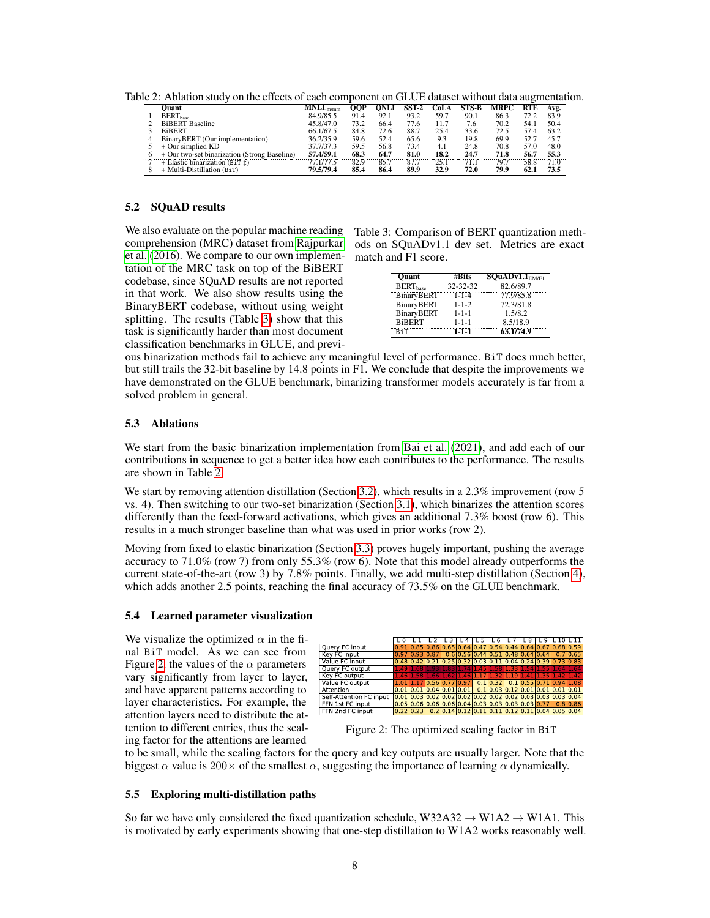|   | ()uant                                                  | $MNLI_{\text{mm}}$ | OOP  |      | $SST-2$ | CoLA | STS-B | <b>MRPC</b> | RTE  | Avg. |
|---|---------------------------------------------------------|--------------------|------|------|---------|------|-------|-------------|------|------|
|   | <b>BERT</b> hase                                        | 84.9/85.5          | 91.4 | 92.1 | 93.2    | 59.7 | 90.1  | 86.3        | 72.2 | 83.9 |
|   | <b>BiBERT</b> Baseline                                  | 45.8/47.0          | 73.2 | 66.4 | 77.6    | 11.7 | 7.6   | 70.2        | 54.1 | 50.4 |
|   | <b>BiBERT</b>                                           | 66.1/67.5          | 84.8 | 72.6 | 88.7    | 25.4 | 33.6  | 72.5        | 57.4 | 63.2 |
| 4 | BinaryBERT (Our implementation)                         | 36.2/35.9          | 59.6 | 52.4 | 65.6    | 93   | 19.8  | 69.9        | 52.7 | 45.7 |
|   | $+$ Our simplied KD                                     | 37.7/37.3          | 59.5 | 56.8 | 73.4    | 4.1  | 24.8  | 70.8        | 57.0 | 48.0 |
|   | + Our two-set binarization (Strong Baseline)            | 57.4/59.1          | 68.3 | 64.7 | 81.0    | 18.2 | 24.7  | 71.8        | 56.7 | 55.3 |
|   | $+$ Elastic binarization (B <sub>i</sub> T $\ddagger$ ) | 77.1/77.5          | 82.9 | 85.7 | 87.7    | 25.1 | 71.1  | 79.7        | 58.8 | 71.0 |
|   | + Multi-Distillation (BiT)                              | 79.5/79.4          | 85.4 | 86.4 | 89.9    | 32.9 | 72.0  | 79.9        | 62.1 | 73.5 |

<span id="page-7-3"></span>Table 2: Ablation study on the effects of each component on GLUE dataset without data augmentation.

#### 5.2 SQuAD results

We also evaluate on the popular machine reading comprehension (MRC) dataset from [Rajpurkar](#page-11-7) [et al.](#page-11-7) [\(2016\)](#page-11-7). We compare to our own implementation of the MRC task on top of the BiBERT codebase, since SQuAD results are not reported in that work. We also show results using the BinaryBERT codebase, without using weight splitting. The results (Table [3\)](#page-7-2) show that this task is significantly harder than most document classification benchmarks in GLUE, and previ<span id="page-7-2"></span>Table 3: Comparison of BERT quantization methods on SQuADv1.1 dev set. Metrics are exact match and F1 score.

| <b>Ouant</b>                           | #Bits          | $\overline{\text{SQu}}$ ADv1.1 $_{EM/F1}$ |
|----------------------------------------|----------------|-------------------------------------------|
| $\overline{\text{BERT}}_{\text{base}}$ | $32 - 32 - 32$ | 82.6/89.7                                 |
| <b>BinaryBERT</b>                      | $1 - 1 - 4$    | 77.9/85.8                                 |
| <b>BinaryBERT</b>                      | $1 - 1 - 2$    | 72.3/81.8                                 |
| BinaryBERT                             | $1 - 1 - 1$    | 1.5/8.2                                   |
| <b>BiBERT</b>                          | $1 - 1 - 1$    | 8.5/18.9                                  |
| BiT                                    | $1 - 1 - 1$    | 63.1/74.9                                 |

ous binarization methods fail to achieve any meaningful level of performance. BiT does much better, but still trails the 32-bit baseline by 14.8 points in F1. We conclude that despite the improvements we have demonstrated on the GLUE benchmark, binarizing transformer models accurately is far from a solved problem in general.

# <span id="page-7-0"></span>5.3 Ablations

We start from the basic binarization implementation from [Bai et al.](#page-9-4) [\(2021\)](#page-9-4), and add each of our contributions in sequence to get a better idea how each contributes to the performance. The results are shown in Table [2.](#page-7-3)

We start by removing attention distillation (Section [3.2\)](#page-4-0), which results in a 2.3% improvement (row 5 vs. 4). Then switching to our two-set binarization (Section [3.1\)](#page-2-1), which binarizes the attention scores differently than the feed-forward activations, which gives an additional 7.3% boost (row 6). This results in a much stronger baseline than what was used in prior works (row 2).

Moving from fixed to elastic binarization (Section [3.3\)](#page-4-1) proves hugely important, pushing the average accuracy to 71.0% (row 7) from only 55.3% (row 6). Note that this model already outperforms the current state-of-the-art (row 3) by 7.8% points. Finally, we add multi-step distillation (Section [4\)](#page-5-0), which adds another 2.5 points, reaching the final accuracy of 73.5% on the GLUE benchmark.

#### 5.4 Learned parameter visualization

We visualize the optimized  $\alpha$  in the final BiT model. As we can see from Figure [2,](#page-7-4) the values of the  $\alpha$  parameters vary significantly from layer to layer, and have apparent patterns according to layer characteristics. For example, the attention layers need to distribute the attention to different entries, thus the scaling factor for the attentions are learned

<span id="page-7-4"></span>

Figure 2: The optimized scaling factor in BiT

to be small, while the scaling factors for the query and key outputs are usually larger. Note that the biggest  $\alpha$  value is 200 $\times$  of the smallest  $\alpha$ , suggesting the importance of learning  $\alpha$  dynamically.

# <span id="page-7-1"></span>5.5 Exploring multi-distillation paths

So far we have only considered the fixed quantization schedule, W32A32  $\rightarrow$  W1A2  $\rightarrow$  W1A1. This is motivated by early experiments showing that one-step distillation to W1A2 works reasonably well.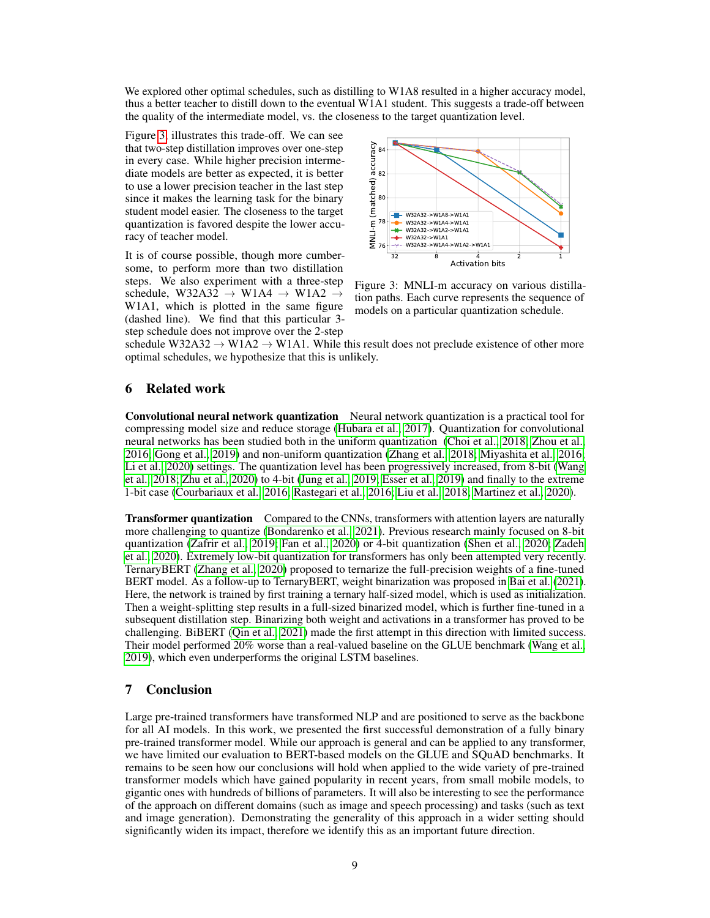We explored other optimal schedules, such as distilling to W1A8 resulted in a higher accuracy model, thus a better teacher to distill down to the eventual W1A1 student. This suggests a trade-off between the quality of the intermediate model, vs. the closeness to the target quantization level.

Figure [3,](#page-8-0) illustrates this trade-off. We can see that two-step distillation improves over one-step in every case. While higher precision intermediate models are better as expected, it is better to use a lower precision teacher in the last step since it makes the learning task for the binary student model easier. The closeness to the target quantization is favored despite the lower accuracy of teacher model.

It is of course possible, though more cumbersome, to perform more than two distillation steps. We also experiment with a three-step schedule, W32A32  $\rightarrow$  W1A4  $\rightarrow$  W1A2  $\rightarrow$ W1A1, which is plotted in the same figure (dashed line). We find that this particular 3 step schedule does not improve over the 2-step

<span id="page-8-0"></span>

Figure 3: MNLI-m accuracy on various distillation paths. Each curve represents the sequence of models on a particular quantization schedule.

schedule W32A32  $\rightarrow$  W1A2  $\rightarrow$  W1A1. While this result does not preclude existence of other more optimal schedules, we hypothesize that this is unlikely.

# 6 Related work

Convolutional neural network quantization Neural network quantization is a practical tool for compressing model size and reduce storage [\(Hubara et al., 2017\)](#page-10-14). Quantization for convolutional neural networks has been studied both in the uniform quantization [\(Choi et al., 2018;](#page-9-8) [Zhou et al.,](#page-11-4) [2016;](#page-11-4) [Gong et al., 2019\)](#page-9-10) and non-uniform quantization [\(Zhang et al., 2018;](#page-11-9) [Miyashita et al., 2016;](#page-10-15) [Li et al., 2020\)](#page-10-16) settings. The quantization level has been progressively increased, from 8-bit [\(Wang](#page-11-10) [et al., 2018;](#page-11-10) [Zhu et al., 2020\)](#page-12-3) to 4-bit [\(Jung et al., 2019;](#page-10-17) [Esser et al., 2019\)](#page-9-11) and finally to the extreme 1-bit case [\(Courbariaux et al., 2016;](#page-9-3) [Rastegari et al., 2016;](#page-11-2) [Liu et al., 2018;](#page-10-4) [Martinez et al., 2020\)](#page-10-6).

**Transformer quantization** Compared to the CNNs, transformers with attention layers are naturally more challenging to quantize [\(Bondarenko et al., 2021\)](#page-9-12). Previous research mainly focused on 8-bit quantization [\(Zafrir et al., 2019;](#page-11-11) [Fan et al., 2020\)](#page-9-13) or 4-bit quantization [\(Shen et al., 2020;](#page-11-12) [Zadeh](#page-11-13) [et al., 2020\)](#page-11-13). Extremely low-bit quantization for transformers has only been attempted very recently. TernaryBERT [\(Zhang et al., 2020\)](#page-11-8) proposed to ternarize the full-precision weights of a fine-tuned BERT model. As a follow-up to TernaryBERT, weight binarization was proposed in [Bai et al.](#page-9-4) [\(2021\)](#page-9-4). Here, the network is trained by first training a ternary half-sized model, which is used as initialization. Then a weight-splitting step results in a full-sized binarized model, which is further fine-tuned in a subsequent distillation step. Binarizing both weight and activations in a transformer has proved to be challenging. BiBERT [\(Qin et al., 2021\)](#page-10-7) made the first attempt in this direction with limited success. Their model performed 20% worse than a real-valued baseline on the GLUE benchmark [\(Wang et al.,](#page-11-3) [2019\)](#page-11-3), which even underperforms the original LSTM baselines.

# 7 Conclusion

Large pre-trained transformers have transformed NLP and are positioned to serve as the backbone for all AI models. In this work, we presented the first successful demonstration of a fully binary pre-trained transformer model. While our approach is general and can be applied to any transformer, we have limited our evaluation to BERT-based models on the GLUE and SQuAD benchmarks. It remains to be seen how our conclusions will hold when applied to the wide variety of pre-trained transformer models which have gained popularity in recent years, from small mobile models, to gigantic ones with hundreds of billions of parameters. It will also be interesting to see the performance of the approach on different domains (such as image and speech processing) and tasks (such as text and image generation). Demonstrating the generality of this approach in a wider setting should significantly widen its impact, therefore we identify this as an important future direction.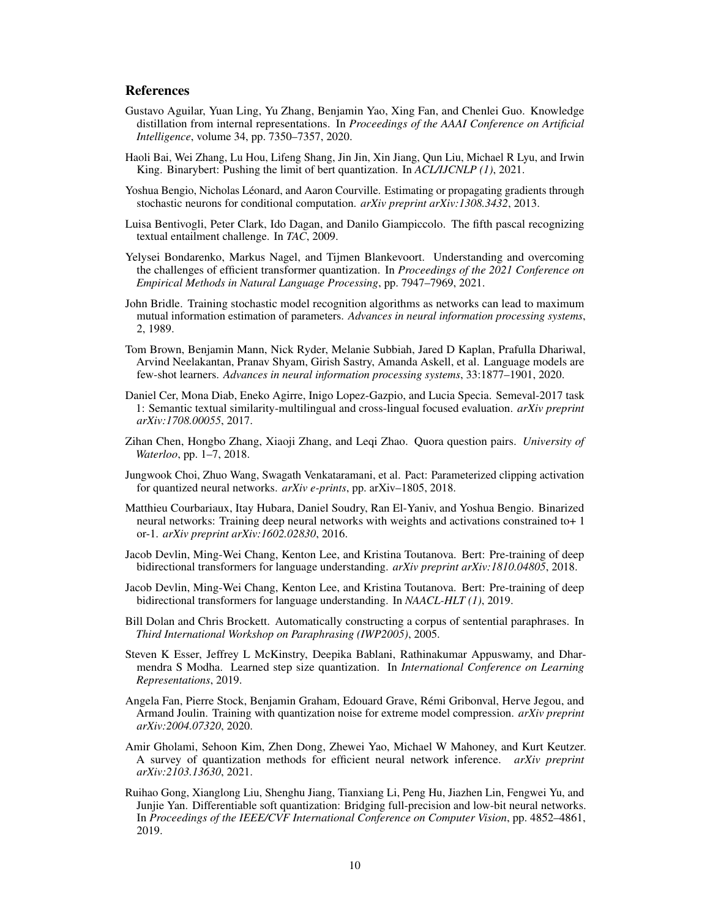# **References**

- <span id="page-9-7"></span>Gustavo Aguilar, Yuan Ling, Yu Zhang, Benjamin Yao, Xing Fan, and Chenlei Guo. Knowledge distillation from internal representations. In *Proceedings of the AAAI Conference on Artificial Intelligence*, volume 34, pp. 7350–7357, 2020.
- <span id="page-9-4"></span>Haoli Bai, Wei Zhang, Lu Hou, Lifeng Shang, Jin Jin, Xin Jiang, Qun Liu, Michael R Lyu, and Irwin King. Binarybert: Pushing the limit of bert quantization. In *ACL/IJCNLP (1)*, 2021.
- <span id="page-9-5"></span>Yoshua Bengio, Nicholas Léonard, and Aaron Courville. Estimating or propagating gradients through stochastic neurons for conditional computation. *arXiv preprint arXiv:1308.3432*, 2013.
- <span id="page-9-17"></span>Luisa Bentivogli, Peter Clark, Ido Dagan, and Danilo Giampiccolo. The fifth pascal recognizing textual entailment challenge. In *TAC*, 2009.
- <span id="page-9-12"></span>Yelysei Bondarenko, Markus Nagel, and Tijmen Blankevoort. Understanding and overcoming the challenges of efficient transformer quantization. In *Proceedings of the 2021 Conference on Empirical Methods in Natural Language Processing*, pp. 7947–7969, 2021.
- <span id="page-9-6"></span>John Bridle. Training stochastic model recognition algorithms as networks can lead to maximum mutual information estimation of parameters. *Advances in neural information processing systems*, 2, 1989.
- <span id="page-9-1"></span>Tom Brown, Benjamin Mann, Nick Ryder, Melanie Subbiah, Jared D Kaplan, Prafulla Dhariwal, Arvind Neelakantan, Pranav Shyam, Girish Sastry, Amanda Askell, et al. Language models are few-shot learners. *Advances in neural information processing systems*, 33:1877–1901, 2020.
- <span id="page-9-15"></span>Daniel Cer, Mona Diab, Eneko Agirre, Inigo Lopez-Gazpio, and Lucia Specia. Semeval-2017 task 1: Semantic textual similarity-multilingual and cross-lingual focused evaluation. *arXiv preprint arXiv:1708.00055*, 2017.
- <span id="page-9-14"></span>Zihan Chen, Hongbo Zhang, Xiaoji Zhang, and Leqi Zhao. Quora question pairs. *University of Waterloo*, pp. 1–7, 2018.
- <span id="page-9-8"></span>Jungwook Choi, Zhuo Wang, Swagath Venkataramani, et al. Pact: Parameterized clipping activation for quantized neural networks. *arXiv e-prints*, pp. arXiv–1805, 2018.
- <span id="page-9-3"></span>Matthieu Courbariaux, Itay Hubara, Daniel Soudry, Ran El-Yaniv, and Yoshua Bengio. Binarized neural networks: Training deep neural networks with weights and activations constrained to+ 1 or-1. *arXiv preprint arXiv:1602.02830*, 2016.
- <span id="page-9-9"></span>Jacob Devlin, Ming-Wei Chang, Kenton Lee, and Kristina Toutanova. Bert: Pre-training of deep bidirectional transformers for language understanding. *arXiv preprint arXiv:1810.04805*, 2018.
- <span id="page-9-0"></span>Jacob Devlin, Ming-Wei Chang, Kenton Lee, and Kristina Toutanova. Bert: Pre-training of deep bidirectional transformers for language understanding. In *NAACL-HLT (1)*, 2019.
- <span id="page-9-16"></span>Bill Dolan and Chris Brockett. Automatically constructing a corpus of sentential paraphrases. In *Third International Workshop on Paraphrasing (IWP2005)*, 2005.
- <span id="page-9-11"></span>Steven K Esser, Jeffrey L McKinstry, Deepika Bablani, Rathinakumar Appuswamy, and Dharmendra S Modha. Learned step size quantization. In *International Conference on Learning Representations*, 2019.
- <span id="page-9-13"></span>Angela Fan, Pierre Stock, Benjamin Graham, Edouard Grave, Rémi Gribonval, Herve Jegou, and Armand Joulin. Training with quantization noise for extreme model compression. *arXiv preprint arXiv:2004.07320*, 2020.
- <span id="page-9-2"></span>Amir Gholami, Sehoon Kim, Zhen Dong, Zhewei Yao, Michael W Mahoney, and Kurt Keutzer. A survey of quantization methods for efficient neural network inference. *arXiv preprint arXiv:2103.13630*, 2021.
- <span id="page-9-10"></span>Ruihao Gong, Xianglong Liu, Shenghu Jiang, Tianxiang Li, Peng Hu, Jiazhen Lin, Fengwei Yu, and Junjie Yan. Differentiable soft quantization: Bridging full-precision and low-bit neural networks. In *Proceedings of the IEEE/CVF International Conference on Computer Vision*, pp. 4852–4861, 2019.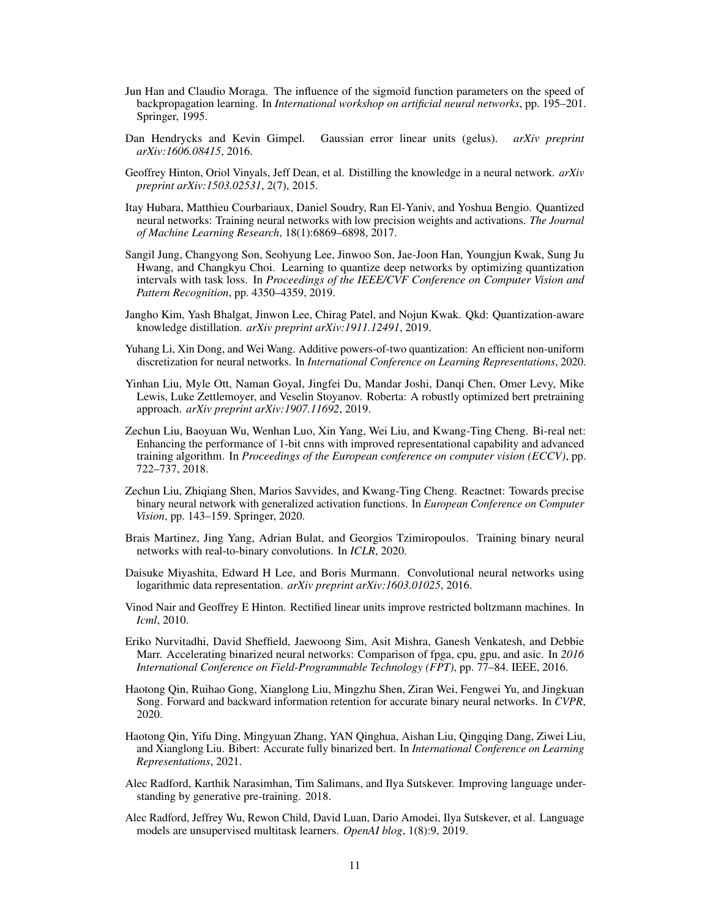- <span id="page-10-9"></span>Jun Han and Claudio Moraga. The influence of the sigmoid function parameters on the speed of backpropagation learning. In *International workshop on artificial neural networks*, pp. 195–201. Springer, 1995.
- <span id="page-10-10"></span>Dan Hendrycks and Kevin Gimpel. Gaussian error linear units (gelus). *arXiv preprint arXiv:1606.08415*, 2016.
- <span id="page-10-8"></span>Geoffrey Hinton, Oriol Vinyals, Jeff Dean, et al. Distilling the knowledge in a neural network. *arXiv preprint arXiv:1503.02531*, 2(7), 2015.
- <span id="page-10-14"></span>Itay Hubara, Matthieu Courbariaux, Daniel Soudry, Ran El-Yaniv, and Yoshua Bengio. Quantized neural networks: Training neural networks with low precision weights and activations. *The Journal of Machine Learning Research*, 18(1):6869–6898, 2017.
- <span id="page-10-17"></span>Sangil Jung, Changyong Son, Seohyung Lee, Jinwoo Son, Jae-Joon Han, Youngjun Kwak, Sung Ju Hwang, and Changkyu Choi. Learning to quantize deep networks by optimizing quantization intervals with task loss. In *Proceedings of the IEEE/CVF Conference on Computer Vision and Pattern Recognition*, pp. 4350–4359, 2019.
- <span id="page-10-13"></span>Jangho Kim, Yash Bhalgat, Jinwon Lee, Chirag Patel, and Nojun Kwak. Qkd: Quantization-aware knowledge distillation. *arXiv preprint arXiv:1911.12491*, 2019.
- <span id="page-10-16"></span>Yuhang Li, Xin Dong, and Wei Wang. Additive powers-of-two quantization: An efficient non-uniform discretization for neural networks. In *International Conference on Learning Representations*, 2020.
- <span id="page-10-0"></span>Yinhan Liu, Myle Ott, Naman Goyal, Jingfei Du, Mandar Joshi, Danqi Chen, Omer Levy, Mike Lewis, Luke Zettlemoyer, and Veselin Stoyanov. Roberta: A robustly optimized bert pretraining approach. *arXiv preprint arXiv:1907.11692*, 2019.
- <span id="page-10-4"></span>Zechun Liu, Baoyuan Wu, Wenhan Luo, Xin Yang, Wei Liu, and Kwang-Ting Cheng. Bi-real net: Enhancing the performance of 1-bit cnns with improved representational capability and advanced training algorithm. In *Proceedings of the European conference on computer vision (ECCV)*, pp. 722–737, 2018.
- <span id="page-10-12"></span>Zechun Liu, Zhiqiang Shen, Marios Savvides, and Kwang-Ting Cheng. Reactnet: Towards precise binary neural network with generalized activation functions. In *European Conference on Computer Vision*, pp. 143–159. Springer, 2020.
- <span id="page-10-6"></span>Brais Martinez, Jing Yang, Adrian Bulat, and Georgios Tzimiropoulos. Training binary neural networks with real-to-binary convolutions. In *ICLR*, 2020.
- <span id="page-10-15"></span>Daisuke Miyashita, Edward H Lee, and Boris Murmann. Convolutional neural networks using logarithmic data representation. *arXiv preprint arXiv:1603.01025*, 2016.
- <span id="page-10-11"></span>Vinod Nair and Geoffrey E Hinton. Rectified linear units improve restricted boltzmann machines. In *Icml*, 2010.
- <span id="page-10-3"></span>Eriko Nurvitadhi, David Sheffield, Jaewoong Sim, Asit Mishra, Ganesh Venkatesh, and Debbie Marr. Accelerating binarized neural networks: Comparison of fpga, cpu, gpu, and asic. In *2016 International Conference on Field-Programmable Technology (FPT)*, pp. 77–84. IEEE, 2016.
- <span id="page-10-5"></span>Haotong Qin, Ruihao Gong, Xianglong Liu, Mingzhu Shen, Ziran Wei, Fengwei Yu, and Jingkuan Song. Forward and backward information retention for accurate binary neural networks. In *CVPR*, 2020.
- <span id="page-10-7"></span>Haotong Qin, Yifu Ding, Mingyuan Zhang, YAN Qinghua, Aishan Liu, Qingqing Dang, Ziwei Liu, and Xianglong Liu. Bibert: Accurate fully binarized bert. In *International Conference on Learning Representations*, 2021.
- <span id="page-10-1"></span>Alec Radford, Karthik Narasimhan, Tim Salimans, and Ilya Sutskever. Improving language understanding by generative pre-training. 2018.
- <span id="page-10-2"></span>Alec Radford, Jeffrey Wu, Rewon Child, David Luan, Dario Amodei, Ilya Sutskever, et al. Language models are unsupervised multitask learners. *OpenAI blog*, 1(8):9, 2019.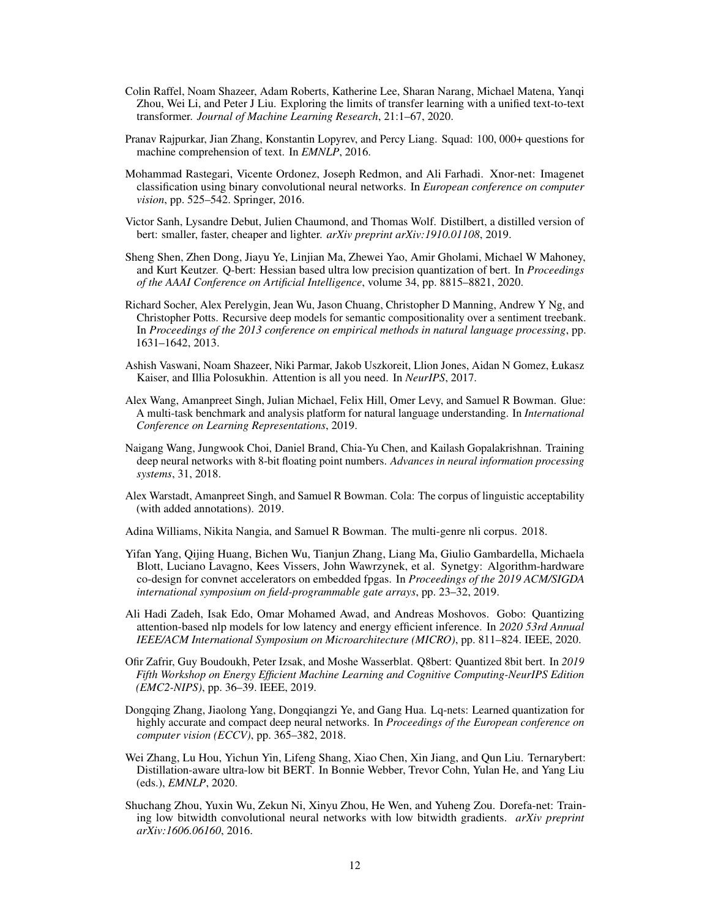- <span id="page-11-1"></span>Colin Raffel, Noam Shazeer, Adam Roberts, Katherine Lee, Sharan Narang, Michael Matena, Yanqi Zhou, Wei Li, and Peter J Liu. Exploring the limits of transfer learning with a unified text-to-text transformer. *Journal of Machine Learning Research*, 21:1–67, 2020.
- <span id="page-11-7"></span>Pranav Rajpurkar, Jian Zhang, Konstantin Lopyrev, and Percy Liang. Squad: 100, 000+ questions for machine comprehension of text. In *EMNLP*, 2016.
- <span id="page-11-2"></span>Mohammad Rastegari, Vicente Ordonez, Joseph Redmon, and Ali Farhadi. Xnor-net: Imagenet classification using binary convolutional neural networks. In *European conference on computer vision*, pp. 525–542. Springer, 2016.
- <span id="page-11-5"></span>Victor Sanh, Lysandre Debut, Julien Chaumond, and Thomas Wolf. Distilbert, a distilled version of bert: smaller, faster, cheaper and lighter. *arXiv preprint arXiv:1910.01108*, 2019.
- <span id="page-11-12"></span>Sheng Shen, Zhen Dong, Jiayu Ye, Linjian Ma, Zhewei Yao, Amir Gholami, Michael W Mahoney, and Kurt Keutzer. Q-bert: Hessian based ultra low precision quantization of bert. In *Proceedings of the AAAI Conference on Artificial Intelligence*, volume 34, pp. 8815–8821, 2020.
- <span id="page-11-15"></span>Richard Socher, Alex Perelygin, Jean Wu, Jason Chuang, Christopher D Manning, Andrew Y Ng, and Christopher Potts. Recursive deep models for semantic compositionality over a sentiment treebank. In *Proceedings of the 2013 conference on empirical methods in natural language processing*, pp. 1631–1642, 2013.
- <span id="page-11-0"></span>Ashish Vaswani, Noam Shazeer, Niki Parmar, Jakob Uszkoreit, Llion Jones, Aidan N Gomez, Łukasz Kaiser, and Illia Polosukhin. Attention is all you need. In *NeurIPS*, 2017.
- <span id="page-11-3"></span>Alex Wang, Amanpreet Singh, Julian Michael, Felix Hill, Omer Levy, and Samuel R Bowman. Glue: A multi-task benchmark and analysis platform for natural language understanding. In *International Conference on Learning Representations*, 2019.
- <span id="page-11-10"></span>Naigang Wang, Jungwook Choi, Daniel Brand, Chia-Yu Chen, and Kailash Gopalakrishnan. Training deep neural networks with 8-bit floating point numbers. *Advances in neural information processing systems*, 31, 2018.
- <span id="page-11-16"></span>Alex Warstadt, Amanpreet Singh, and Samuel R Bowman. Cola: The corpus of linguistic acceptability (with added annotations). 2019.
- <span id="page-11-14"></span>Adina Williams, Nikita Nangia, and Samuel R Bowman. The multi-genre nli corpus. 2018.
- <span id="page-11-6"></span>Yifan Yang, Qijing Huang, Bichen Wu, Tianjun Zhang, Liang Ma, Giulio Gambardella, Michaela Blott, Luciano Lavagno, Kees Vissers, John Wawrzynek, et al. Synetgy: Algorithm-hardware co-design for convnet accelerators on embedded fpgas. In *Proceedings of the 2019 ACM/SIGDA international symposium on field-programmable gate arrays*, pp. 23–32, 2019.
- <span id="page-11-13"></span>Ali Hadi Zadeh, Isak Edo, Omar Mohamed Awad, and Andreas Moshovos. Gobo: Quantizing attention-based nlp models for low latency and energy efficient inference. In *2020 53rd Annual IEEE/ACM International Symposium on Microarchitecture (MICRO)*, pp. 811–824. IEEE, 2020.
- <span id="page-11-11"></span>Ofir Zafrir, Guy Boudoukh, Peter Izsak, and Moshe Wasserblat. Q8bert: Quantized 8bit bert. In *2019 Fifth Workshop on Energy Efficient Machine Learning and Cognitive Computing-NeurIPS Edition (EMC2-NIPS)*, pp. 36–39. IEEE, 2019.
- <span id="page-11-9"></span>Dongqing Zhang, Jiaolong Yang, Dongqiangzi Ye, and Gang Hua. Lq-nets: Learned quantization for highly accurate and compact deep neural networks. In *Proceedings of the European conference on computer vision (ECCV)*, pp. 365–382, 2018.
- <span id="page-11-8"></span>Wei Zhang, Lu Hou, Yichun Yin, Lifeng Shang, Xiao Chen, Xin Jiang, and Qun Liu. Ternarybert: Distillation-aware ultra-low bit BERT. In Bonnie Webber, Trevor Cohn, Yulan He, and Yang Liu (eds.), *EMNLP*, 2020.
- <span id="page-11-4"></span>Shuchang Zhou, Yuxin Wu, Zekun Ni, Xinyu Zhou, He Wen, and Yuheng Zou. Dorefa-net: Training low bitwidth convolutional neural networks with low bitwidth gradients. *arXiv preprint arXiv:1606.06160*, 2016.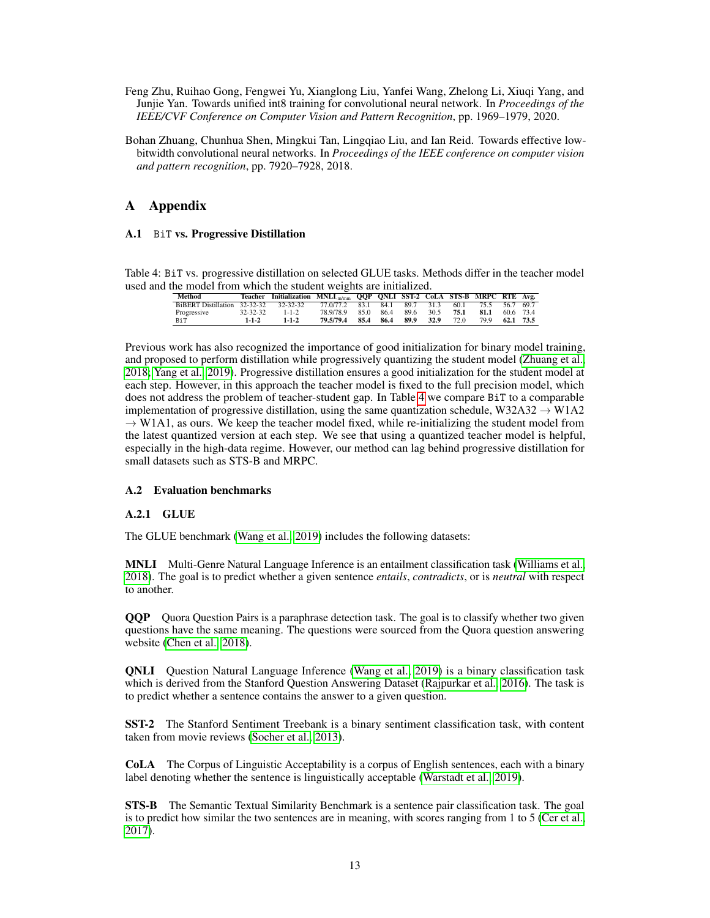- <span id="page-12-3"></span>Feng Zhu, Ruihao Gong, Fengwei Yu, Xianglong Liu, Yanfei Wang, Zhelong Li, Xiuqi Yang, and Junjie Yan. Towards unified int8 training for convolutional neural network. In *Proceedings of the IEEE/CVF Conference on Computer Vision and Pattern Recognition*, pp. 1969–1979, 2020.
- <span id="page-12-0"></span>Bohan Zhuang, Chunhua Shen, Mingkui Tan, Lingqiao Liu, and Ian Reid. Towards effective lowbitwidth convolutional neural networks. In *Proceedings of the IEEE conference on computer vision and pattern recognition*, pp. 7920–7928, 2018.

# A Appendix

# <span id="page-12-1"></span>A.1 BiT vs. Progressive Distillation

<span id="page-12-4"></span>Table 4: BiT vs. progressive distillation on selected GLUE tasks. Methods differ in the teacher model used and the model from which the student weights are initialized.

| <b>Method</b>                |             | Teacher Initialization MNLI <sub>m/mm</sub> QQP QNLI SST-2 CoLA STS-B MRPC RTE Avg. |                               |      |      |           |           |      |                     |           |  |
|------------------------------|-------------|-------------------------------------------------------------------------------------|-------------------------------|------|------|-----------|-----------|------|---------------------|-----------|--|
| BiBERT Distillation 32-32-32 |             | $32 - 32 - 32$                                                                      | 77.0/77.2 83.1 84.1 89.7 31.3 |      |      |           |           |      | 60.1 75.5 56.7 69.7 |           |  |
| Progressive                  | 32-32-32    | $1 - 1 - 2$                                                                         | 78.9/78.9                     | 850  | 86.4 | 89.6 30.5 |           | 75.1 | 81.1                | 60.6 73.4 |  |
| BiT                          | $1 - 1 - 2$ | $1 - 1 - 2$                                                                         | 79.5/79.4                     | 85.4 | 86.4 |           | 89.9 32.9 | 72.O | 79.9                | 62.1 73.5 |  |

Previous work has also recognized the importance of good initialization for binary model training, and proposed to perform distillation while progressively quantizing the student model [\(Zhuang et al.,](#page-12-0) [2018;](#page-12-0) [Yang et al., 2019\)](#page-11-6). Progressive distillation ensures a good initialization for the student model at each step. However, in this approach the teacher model is fixed to the full precision model, which does not address the problem of teacher-student gap. In Table [4](#page-12-4) we compare BiT to a comparable implementation of progressive distillation, using the same quantization schedule, W32A32  $\rightarrow$  W1A2  $\rightarrow$  W1A1, as ours. We keep the teacher model fixed, while re-initializing the student model from the latest quantized version at each step. We see that using a quantized teacher model is helpful, especially in the high-data regime. However, our method can lag behind progressive distillation for small datasets such as STS-B and MRPC.

# <span id="page-12-2"></span>A.2 Evaluation benchmarks

# A.2.1 GLUE

The GLUE benchmark [\(Wang et al., 2019\)](#page-11-3) includes the following datasets:

MNLI Multi-Genre Natural Language Inference is an entailment classification task [\(Williams et al.,](#page-11-14) [2018\)](#page-11-14). The goal is to predict whether a given sentence *entails*, *contradicts*, or is *neutral* with respect to another.

QQP Quora Question Pairs is a paraphrase detection task. The goal is to classify whether two given questions have the same meaning. The questions were sourced from the Quora question answering website [\(Chen et al., 2018\)](#page-9-14).

QNLI Question Natural Language Inference [\(Wang et al., 2019\)](#page-11-3) is a binary classification task which is derived from the Stanford Question Answering Dataset [\(Rajpurkar et al., 2016\)](#page-11-7). The task is to predict whether a sentence contains the answer to a given question.

SST-2 The Stanford Sentiment Treebank is a binary sentiment classification task, with content taken from movie reviews [\(Socher et al., 2013\)](#page-11-15).

CoLA The Corpus of Linguistic Acceptability is a corpus of English sentences, each with a binary label denoting whether the sentence is linguistically acceptable [\(Warstadt et al., 2019\)](#page-11-16).

STS-B The Semantic Textual Similarity Benchmark is a sentence pair classification task. The goal is to predict how similar the two sentences are in meaning, with scores ranging from 1 to 5 [\(Cer et al.,](#page-9-15) [2017\)](#page-9-15).